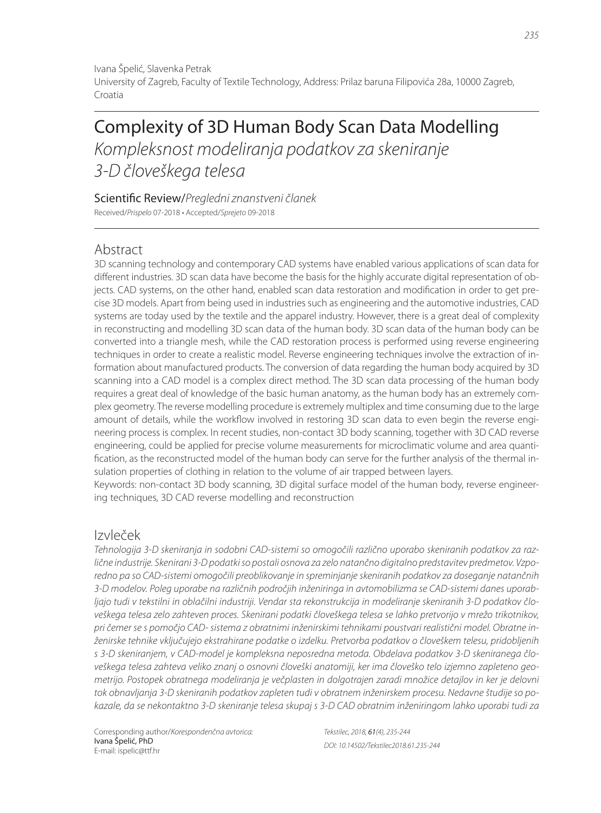Ivana Špelić, Slavenka Petrak University of Zagreb, Faculty of Textile Technology, Address: Prilaz baruna Filipovića 28a, 10000 Zagreb, Croatia

# Complexity of 3D Human Body Scan Data Modelling Kompleksnost modeliranja podatkov za skeniranje 3-D človeškega telesa

Scientific Review/Pregledni znanstveni članek

Received/Prispelo 07-2018 • Accepted/Sprejeto 09-2018

# Abstract

3D scanning technology and contemporary CAD systems have enabled various applications of scan data for different industries. 3D scan data have become the basis for the highly accurate digital representation of objects. CAD systems, on the other hand, enabled scan data restoration and modification in order to get precise 3D models. Apart from being used in industries such as engineering and the automotive industries, CAD systems are today used by the textile and the apparel industry. However, there is a great deal of complexity in reconstructing and modelling 3D scan data of the human body. 3D scan data of the human body can be converted into a triangle mesh, while the CAD restoration process is performed using reverse engineering techniques in order to create a realistic model. Reverse engineering techniques involve the extraction of information about manufactured products. The conversion of data regarding the human body acquired by 3D scanning into a CAD model is a complex direct method. The 3D scan data processing of the human body requires a great deal of knowledge of the basic human anatomy, as the human body has an extremely complex geometry. The reverse modelling procedure is extremely multiplex and time consuming due to the large amount of details, while the workflow involved in restoring 3D scan data to even begin the reverse engineering process is complex. In recent studies, non-contact 3D body scanning, together with 3D CAD reverse engineering, could be applied for precise volume measurements for microclimatic volume and area quantification, as the reconstructed model of the human body can serve for the further analysis of the thermal insulation properties of clothing in relation to the volume of air trapped between layers.

Keywords: non-contact 3D body scanning, 3D digital surface model of the human body, reverse engineering techniques, 3D CAD reverse modelling and reconstruction

# Izvleček

Tehnologija 3-D skeniranja in sodobni CAD-sistemi so omogočili različno uporabo skeniranih podatkov za različne industrije. Skenirani 3-D podatki so postali osnova za zelo natančno digitalno predstavitev predmetov. Vzporedno pa so CAD-sistemi omogočili preoblikovanje in spreminjanje skeniranih podatkov za doseganje natančnih 3-D modelov. Poleg uporabe na različnih področjih inženiringa in avtomobilizma se CAD-sistemi danes uporabljajo tudi v tekstilni in oblačilni industriji. Vendar sta rekonstrukcija in modeliranje skeniranih 3-D podatkov človeškega telesa zelo zahteven proces. Skenirani podatki človeškega telesa se lahko pretvorijo v mrežo trikotnikov, pri čemer se s pomočjo CAD- sistema z obratnimi inženirskimi tehnikami poustvari realistični model. Obratne inženirske tehnike vključujejo ekstrahirane podatke o izdelku. Pretvorba podatkov o človeškem telesu, pridobljenih s 3-D skeniranjem, v CAD-model je kompleksna neposredna metoda. Obdelava podatkov 3-D skeniranega človeškega telesa zahteva veliko znanj o osnovni človeški anatomiji, ker ima človeško telo izjemno zapleteno geometrijo. Postopek obratnega modeliranja je večplasten in dolgotrajen zaradi množice detajlov in ker je delovni tok obnavljanja 3-D skeniranih podatkov zapleten tudi v obratnem inženirskem procesu. Nedavne študije so pokazale, da se nekontaktno 3-D skeniranje telesa skupaj s 3-D CAD obratnim inženiringom lahko uporabi tudi za

Corresponding author/Korespondenčna avtorica: Ivana Špelić, PhD E-mail: ispelic@ttf.hr

Tekstilec, 2018, 61(4), 235-244 DOI: 10.14502/Tekstilec2018.61.235-244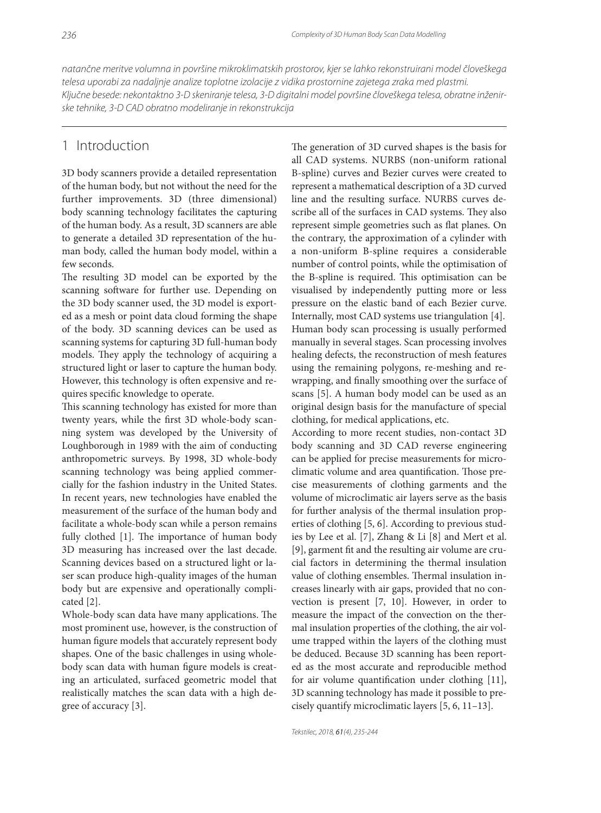natančne meritve volumna in površine mikroklimatskih prostorov, kjer se lahko rekonstruirani model človeškega telesa uporabi za nadaljnje analize toplotne izolacije z vidika prostornine zajetega zraka med plastmi. Ključne besede: nekontaktno 3-D skeniranje telesa, 3-D digitalni model površine človeškega telesa, obratne inženirske tehnike, 3-D CAD obratno modeliranje in rekonstrukcija

## 1 Introduction

3D body scanners provide a detailed representation of the human body, but not without the need for the further improvements. 3D (three dimensional) body scanning technology facilitates the capturing of the human body. As a result, 3D scanners are able to generate a detailed 3D representation of the human body, called the human body model, within a few seconds.

The resulting 3D model can be exported by the scanning software for further use. Depending on the 3D body scanner used, the 3D model is exported as a mesh or point data cloud forming the shape of the body. 3D scanning devices can be used as scanning systems for capturing 3D full-human body models. They apply the technology of acquiring a structured light or laser to capture the human body. However, this technology is often expensive and requires specific knowledge to operate.

This scanning technology has existed for more than twenty years, while the first 3D whole-body scanning system was developed by the University of Loughborough in 1989 with the aim of conducting anthropometric surveys. By 1998, 3D whole-body scanning technology was being applied commercially for the fashion industry in the United States. In recent years, new technologies have enabled the measurement of the surface of the human body and facilitate a whole-body scan while a person remains fully clothed [1]. The importance of human body 3D measuring has increased over the last decade. Scanning devices based on a structured light or laser scan produce high-quality images of the human body but are expensive and operationally complicated [2].

Whole-body scan data have many applications. The most prominent use, however, is the construction of human figure models that accurately represent body shapes. One of the basic challenges in using wholebody scan data with human figure models is creating an articulated, surfaced geometric model that realistically matches the scan data with a high degree of accuracy [3].

The generation of 3D curved shapes is the basis for all CAD systems. NURBS (non-uniform rational B-spline) curves and Bezier curves were created to represent a mathematical description of a 3D curved line and the resulting surface. NURBS curves describe all of the surfaces in CAD systems. They also represent simple geometries such as flat planes. On the contrary, the approximation of a cylinder with a non-uniform B-spline requires a considerable number of control points, while the optimisation of the B-spline is required. This optimisation can be visualised by independently putting more or less pressure on the elastic band of each Bezier curve. Internally, most CAD systems use triangulation [4]. Human body scan processing is usually performed manually in several stages. Scan processing involves healing defects, the reconstruction of mesh features using the remaining polygons, re-meshing and rewrapping, and finally smoothing over the surface of scans [5]. A human body model can be used as an original design basis for the manufacture of special clothing, for medical applications, etc.

According to more recent studies, non-contact 3D body scanning and 3D CAD reverse engineering can be applied for precise measurements for microclimatic volume and area quantification. Those precise measurements of clothing garments and the volume of microclimatic air layers serve as the basis for further analysis of the thermal insulation properties of clothing [5, 6]. According to previous studies by Lee et al. [7], Zhang & Li [8] and Mert et al. [9], garment fit and the resulting air volume are crucial factors in determining the thermal insulation value of clothing ensembles. Thermal insulation increases linearly with air gaps, provided that no convection is present [7, 10]. However, in order to measure the impact of the convection on the thermal insulation properties of the clothing, the air volume trapped within the layers of the clothing must be deduced. Because 3D scanning has been reported as the most accurate and reproducible method for air volume quantification under clothing  $[11]$ , 3D scanning technology has made it possible to precisely quantify microclimatic layers [5, 6, 11–13].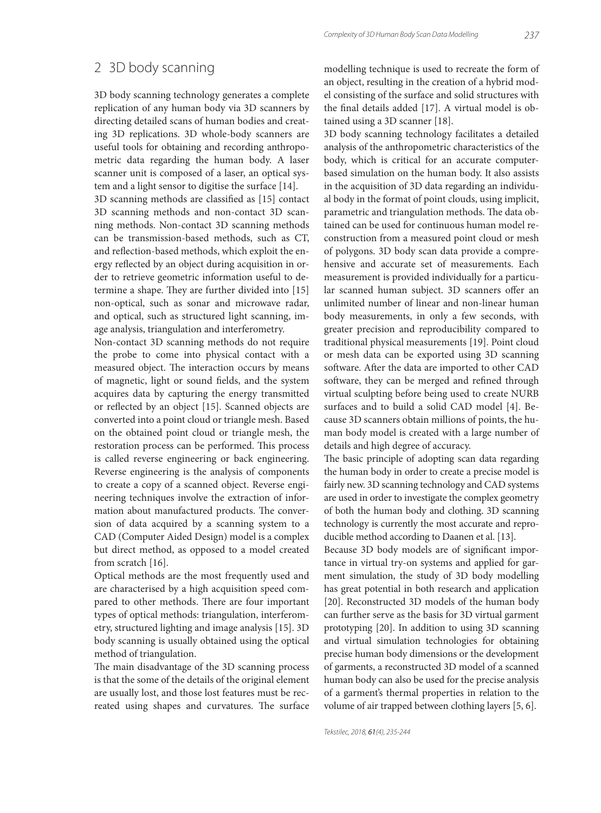## 2 3D body scanning

3D body scanning technology generates a complete replication of any human body via 3D scanners by directing detailed scans of human bodies and creating 3D replications. 3D whole-body scanners are useful tools for obtaining and recording anthropometric data regarding the human body. A laser scanner unit is composed of a laser, an optical system and a light sensor to digitise the surface [14].

3D scanning methods are classified as [15] contact 3D scanning methods and non-contact 3D scanning methods. Non-contact 3D scanning methods can be transmission-based methods, such as CT, and reflection-based methods, which exploit the energy reflected by an object during acquisition in order to retrieve geometric information useful to determine a shape. They are further divided into [15] non-optical, such as sonar and microwave radar, and optical, such as structured light scanning, image analysis, triangulation and interferometry.

Non-contact 3D scanning methods do not require the probe to come into physical contact with a measured object. The interaction occurs by means of magnetic, light or sound fields, and the system acquires data by capturing the energy transmitted or reflected by an object [15]. Scanned objects are converted into a point cloud or triangle mesh. Based on the obtained point cloud or triangle mesh, the restoration process can be performed. This process is called reverse engineering or back engineering. Reverse engineering is the analysis of components to create a copy of a scanned object. Reverse engineering techniques involve the extraction of information about manufactured products. The conversion of data acquired by a scanning system to a CAD (Computer Aided Design) model is a complex but direct method, as opposed to a model created from scratch [16].

Optical methods are the most frequently used and are characterised by a high acquisition speed compared to other methods. There are four important types of optical methods: triangulation, interferometry, structured lighting and image analysis [15]. 3D body scanning is usually obtained using the optical method of triangulation.

The main disadvantage of the 3D scanning process is that the some of the details of the original element are usually lost, and those lost features must be recreated using shapes and curvatures. The surface modelling technique is used to recreate the form of an object, resulting in the creation of a hybrid model consisting of the surface and solid structures with the final details added [17]. A virtual model is obtained using a 3D scanner [18].

3D body scanning technology facilitates a detailed analysis of the anthropometric characteristics of the body, which is critical for an accurate computerbased simulation on the human body. It also assists in the acquisition of 3D data regarding an individual body in the format of point clouds, using implicit, parametric and triangulation methods. The data obtained can be used for continuous human model reconstruction from a measured point cloud or mesh of polygons. 3D body scan data provide a comprehensive and accurate set of measurements. Each measurement is provided individually for a particular scanned human subject. 3D scanners offer an unlimited number of linear and non-linear human body measurements, in only a few seconds, with greater precision and reproducibility compared to traditional physical measurements [19]. Point cloud or mesh data can be exported using 3D scanning software. After the data are imported to other CAD software, they can be merged and refined through virtual sculpting before being used to create NURB surfaces and to build a solid CAD model [4]. Because 3D scanners obtain millions of points, the human body model is created with a large number of details and high degree of accuracy.

The basic principle of adopting scan data regarding the human body in order to create a precise model is fairly new. 3D scanning technology and CAD systems are used in order to investigate the complex geometry of both the human body and clothing. 3D scanning technology is currently the most accurate and reproducible method according to Daanen et al. [13].

Because 3D body models are of significant importance in virtual try-on systems and applied for garment simulation, the study of 3D body modelling has great potential in both research and application [20]. Reconstructed 3D models of the human body can further serve as the basis for 3D virtual garment prototyping [20]. In addition to using 3D scanning and virtual simulation technologies for obtaining precise human body dimensions or the development of garments, a reconstructed 3D model of a scanned human body can also be used for the precise analysis of a garment's thermal properties in relation to the volume of air trapped between clothing layers [5, 6].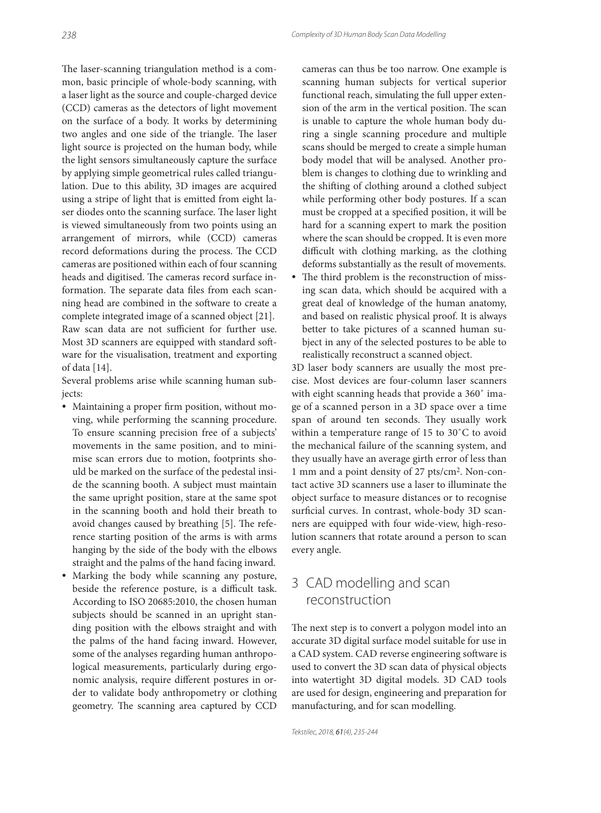The laser-scanning triangulation method is a common, basic principle of whole-body scanning, with a laser light as the source and couple-charged device (CCD) cameras as the detectors of light movement on the surface of a body. It works by determining two angles and one side of the triangle. The laser light source is projected on the human body, while the light sensors simultaneously capture the surface by applying simple geometrical rules called triangulation. Due to this ability, 3D images are acquired using a stripe of light that is emitted from eight laser diodes onto the scanning surface. The laser light is viewed simultaneously from two points using an arrangement of mirrors, while (CCD) cameras record deformations during the process. The CCD cameras are positioned within each of four scanning heads and digitised. The cameras record surface information. The separate data files from each scanning head are combined in the software to create a complete integrated image of a scanned object [21]. Raw scan data are not sufficient for further use. Most 3D scanners are equipped with standard software for the visualisation, treatment and exporting of data [14].

Several problems arise while scanning human subjects:

- Maintaining a proper firm position, without moving, while performing the scanning procedure. To ensure scanning precision free of a subjects' movements in the same position, and to minimise scan errors due to motion, footprints should be marked on the surface of the pedestal inside the scanning booth. A subject must maintain the same upright position, stare at the same spot in the scanning booth and hold their breath to avoid changes caused by breathing [5]. The reference starting position of the arms is with arms hanging by the side of the body with the elbows straight and the palms of the hand facing inward.
- Marking the body while scanning any posture, beside the reference posture, is a difficult task. According to ISO 20685:2010, the chosen human subjects should be scanned in an upright standing position with the elbows straight and with the palms of the hand facing inward. However, some of the analyses regarding human anthropological measurements, particularly during ergonomic analysis, require different postures in order to validate body anthropometry or clothing geometry. The scanning area captured by CCD

cameras can thus be too narrow. One example is scanning human subjects for vertical superior functional reach, simulating the full upper extension of the arm in the vertical position. The scan is unable to capture the whole human body during a single scanning procedure and multiple scans should be merged to create a simple human body model that will be analysed. Another problem is changes to clothing due to wrinkling and the shifting of clothing around a clothed subject while performing other body postures. If a scan must be cropped at a specified position, it will be hard for a scanning expert to mark the position where the scan should be cropped. It is even more difficult with clothing marking, as the clothing deforms substantially as the result of movements.

• The third problem is the reconstruction of missing scan data, which should be acquired with a great deal of knowledge of the human anatomy, and based on realistic physical proof. It is always better to take pictures of a scanned human subject in any of the selected postures to be able to realistically reconstruct a scanned object.

3D laser body scanners are usually the most precise. Most devices are four-column laser scanners with eight scanning heads that provide a 360˚ image of a scanned person in a 3D space over a time span of around ten seconds. They usually work within a temperature range of 15 to 30˚C to avoid the mechanical failure of the scanning system, and they usually have an average girth error of less than 1 mm and a point density of 27 pts/cm2. Non-contact active 3D scanners use a laser to illuminate the object surface to measure distances or to recognise surficial curves. In contrast, whole-body 3D scanners are equipped with four wide-view, high-resolution scanners that rotate around a person to scan every angle.

# 3 CAD modelling and scan reconstruction

The next step is to convert a polygon model into an accurate 3D digital surface model suitable for use in a CAD system. CAD reverse engineering software is used to convert the 3D scan data of physical objects into watertight 3D digital models. 3D CAD tools are used for design, engineering and preparation for manufacturing, and for scan modelling.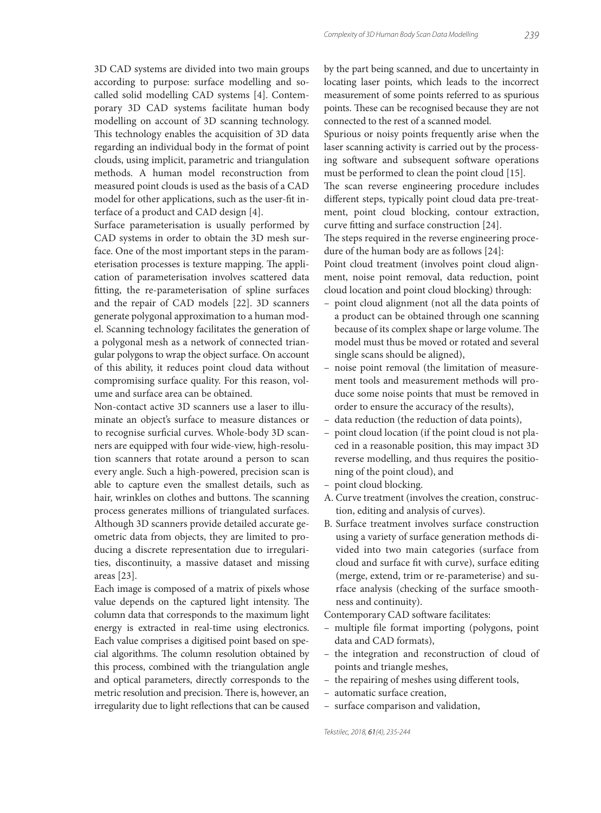3D CAD systems are divided into two main groups according to purpose: surface modelling and socalled solid modelling CAD systems [4]. Contemporary 3D CAD systems facilitate human body modelling on account of 3D scanning technology. This technology enables the acquisition of 3D data regarding an individual body in the format of point clouds, using implicit, parametric and triangulation methods. A human model reconstruction from measured point clouds is used as the basis of a CAD model for other applications, such as the user-fit interface of a product and CAD design [4].

Surface parameterisation is usually performed by CAD systems in order to obtain the 3D mesh surface. One of the most important steps in the parameterisation processes is texture mapping. The application of parameterisation involves scattered data fitting, the re-parameterisation of spline surfaces and the repair of CAD models [22]. 3D scanners generate polygonal approximation to a human model. Scanning technology facilitates the generation of a polygonal mesh as a network of connected triangular polygons to wrap the object surface. On account of this ability, it reduces point cloud data without compromising surface quality. For this reason, volume and surface area can be obtained.

Non-contact active 3D scanners use a laser to illuminate an object's surface to measure distances or to recognise surficial curves. Whole-body 3D scanners are equipped with four wide-view, high-resolution scanners that rotate around a person to scan every angle. Such a high-powered, precision scan is able to capture even the smallest details, such as hair, wrinkles on clothes and buttons. The scanning process generates millions of triangulated surfaces. Although 3D scanners provide detailed accurate geometric data from objects, they are limited to producing a discrete representation due to irregularities, discontinuity, a massive dataset and missing areas [23].

Each image is composed of a matrix of pixels whose value depends on the captured light intensity. The column data that corresponds to the maximum light energy is extracted in real-time using electronics. Each value comprises a digitised point based on special algorithms. The column resolution obtained by this process, combined with the triangulation angle and optical parameters, directly corresponds to the metric resolution and precision. There is, however, an irregularity due to light reflections that can be caused

by the part being scanned, and due to uncertainty in locating laser points, which leads to the incorrect measurement of some points referred to as spurious points. These can be recognised because they are not connected to the rest of a scanned model.

Spurious or noisy points frequently arise when the laser scanning activity is carried out by the processing software and subsequent software operations must be performed to clean the point cloud [15].

The scan reverse engineering procedure includes different steps, typically point cloud data pre-treatment, point cloud blocking, contour extraction, curve fitting and surface construction [24].

The steps required in the reverse engineering procedure of the human body are as follows [24]:

Point cloud treatment (involves point cloud alignment, noise point removal, data reduction, point cloud location and point cloud blocking) through:

- point cloud alignment (not all the data points of a product can be obtained through one scanning because of its complex shape or large volume. The model must thus be moved or rotated and several single scans should be aligned),
- noise point removal (the limitation of measurement tools and measurement methods will produce some noise points that must be removed in order to ensure the accuracy of the results),
- data reduction (the reduction of data points),
- point cloud location (if the point cloud is not placed in a reasonable position, this may impact 3D reverse modelling, and thus requires the positioning of the point cloud), and
- point cloud blocking.
- A. Curve treatment (involves the creation, construction, editing and analysis of curves).
- B. Surface treatment involves surface construction using a variety of surface generation methods divided into two main categories (surface from cloud and surface fit with curve), surface editing (merge, extend, trim or re-parameterise) and surface analysis (checking of the surface smoothness and continuity).

Contemporary CAD software facilitates:

- multiple file format importing (polygons, point data and CAD formats),
- the integration and reconstruction of cloud of points and triangle meshes,
- the repairing of meshes using different tools,
- automatic surface creation,
- surface comparison and validation,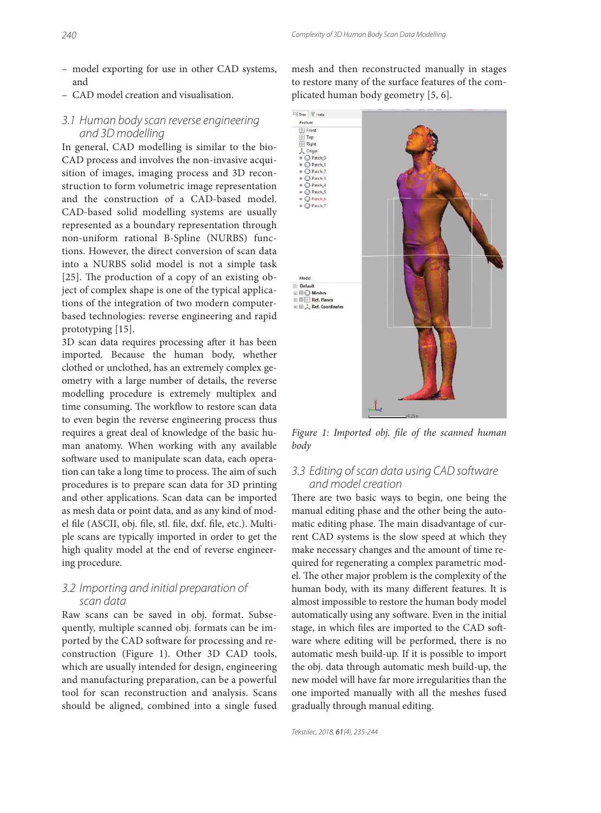- model exporting for use in other CAD systems, and
- CAD model creation and visualisation.

#### 3.1 Human body scan reverse engineering and 3D modelling

In general, CAD modelling is similar to the bio-CAD process and involves the non-invasive acquisition of images, imaging process and 3D reconstruction to form volumetric image representation and the construction of a CAD-based model. CAD-based solid modelling systems are usually represented as a boundary representation through non-uniform rational B-Spline (NURBS) functions. However, the direct conversion of scan data into a NURBS solid model is not a simple task [25]. The production of a copy of an existing object of complex shape is one of the typical applications of the integration of two modern computerbased technologies: reverse engineering and rapid prototyping [15].

3D scan data requires processing after it has been imported. Because the human body, whether clothed or unclothed, has an extremely complex geometry with a large number of details, the reverse modelling procedure is extremely multiplex and time consuming. The workflow to restore scan data to even begin the reverse engineering process thus requires a great deal of knowledge of the basic human anatomy. When working with any available software used to manipulate scan data, each operation can take a long time to process. The aim of such procedures is to prepare scan data for 3D printing and other applications. Scan data can be imported as mesh data or point data, and as any kind of model file (ASCII, obj. file, stl. file, dxf. file, etc.). Multiple scans are typically imported in order to get the high quality model at the end of reverse engineering procedure.

#### 3.2 Importing and initial preparation of scan data

Raw scans can be saved in obj. format. Subsequently, multiple scanned obj. formats can be imported by the CAD software for processing and reconstruction (Figure 1). Other 3D CAD tools, which are usually intended for design, engineering and manufacturing preparation, can be a powerful tool for scan reconstruction and analysis. Scans should be aligned, combined into a single fused mesh and then reconstructed manually in stages to restore many of the surface features of the complicated human body geometry [5, 6].



Figure 1: Imported obj. file of the scanned human *body*

## 3.3 Editing of scan data using CAD software and model creation

There are two basic ways to begin, one being the manual editing phase and the other being the automatic editing phase. The main disadvantage of current CAD systems is the slow speed at which they make necessary changes and the amount of time required for regenerating a complex parametric model. The other major problem is the complexity of the human body, with its many different features. It is almost impossible to restore the human body model automatically using any software. Even in the initial stage, in which files are imported to the CAD software where editing will be performed, there is no automatic mesh build-up. If it is possible to import the obj. data through automatic mesh build-up, the new model will have far more irregularities than the one imported manually with all the meshes fused gradually through manual editing.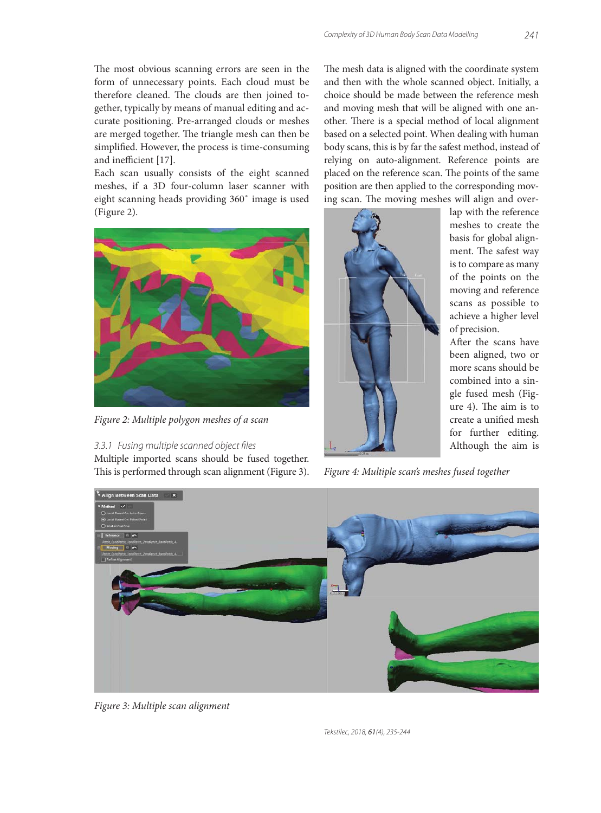The most obvious scanning errors are seen in the form of unnecessary points. Each cloud must be therefore cleaned. The clouds are then joined together, typically by means of manual editing and accurate positioning. Pre-arranged clouds or meshes are merged together. The triangle mesh can then be simplified. However, the process is time-consuming and inefficient [17].

Each scan usually consists of the eight scanned meshes, if a 3D four-column laser scanner with eight scanning heads providing 360˚ image is used (Figure 2).



*Figure 2: Multiple polygon meshes of a scan*

#### 3.3.1 Fusing multiple scanned object files

Multiple imported scans should be fused together. This is performed through scan alignment (Figure 3). The mesh data is aligned with the coordinate system and then with the whole scanned object. Initially, a choice should be made between the reference mesh and moving mesh that will be aligned with one another. There is a special method of local alignment based on a selected point. When dealing with human body scans, this is by far the safest method, instead of relying on auto-alignment. Reference points are placed on the reference scan. The points of the same position are then applied to the corresponding moving scan. The moving meshes will align and over-



lap with the reference meshes to create the basis for global alignment. The safest way is to compare as many of the points on the moving and reference scans as possible to achieve a higher level of precision.

After the scans have been aligned, two or more scans should be combined into a single fused mesh (Figure  $4$ ). The aim is to create a unified mesh for further editing. Although the aim is

*Figure 4: Multiple scan's meshes fused together*



*Figure 3: Multiple scan alignment*

Tekstilec, 2018, 61(4), 235-244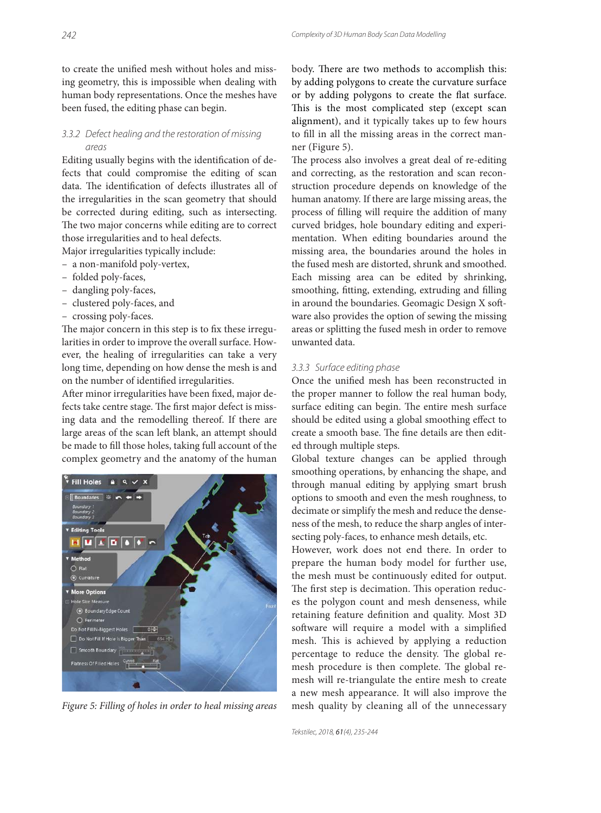to create the unified mesh without holes and missing geometry, this is impossible when dealing with human body representations. Once the meshes have been fused, the editing phase can begin.

#### 3.3.2 Defect healing and the restoration of missing areas

Editing usually begins with the identification of defects that could compromise the editing of scan data. The identification of defects illustrates all of the irregularities in the scan geometry that should be corrected during editing, such as intersecting. The two major concerns while editing are to correct those irregularities and to heal defects.

Major irregularities typically include:

- a non-manifold poly-vertex,
- folded poly-faces,
- dangling poly-faces,
- clustered poly-faces, and
- crossing poly-faces.

The major concern in this step is to fix these irregularities in order to improve the overall surface. However, the healing of irregularities can take a very long time, depending on how dense the mesh is and on the number of identified irregularities.

After minor irregularities have been fixed, major defects take centre stage. The first major defect is missing data and the remodelling thereof. If there are large areas of the scan left blank, an attempt should be made to fill those holes, taking full account of the complex geometry and the anatomy of the human



body. There are two methods to accomplish this: by adding polygons to create the curvature surface or by adding polygons to create the flat surface. This is the most complicated step (except scan alignment), and it typically takes up to few hours to fill in all the missing areas in the correct manner (Figure 5).

The process also involves a great deal of re-editing and correcting, as the restoration and scan reconstruction procedure depends on knowledge of the human anatomy. If there are large missing areas, the process of filling will require the addition of many curved bridges, hole boundary editing and experimentation. When editing boundaries around the missing area, the boundaries around the holes in the fused mesh are distorted, shrunk and smoothed. Each missing area can be edited by shrinking, smoothing, fitting, extending, extruding and filling in around the boundaries. Geomagic Design X software also provides the option of sewing the missing areas or splitting the fused mesh in order to remove unwanted data.

#### 3.3.3 Surface editing phase

Once the unified mesh has been reconstructed in the proper manner to follow the real human body, surface editing can begin. The entire mesh surface should be edited using a global smoothing effect to create a smooth base. The fine details are then edited through multiple steps.

Global texture changes can be applied through smoothing operations, by enhancing the shape, and through manual editing by applying smart brush options to smooth and even the mesh roughness, to decimate or simplify the mesh and reduce the denseness of the mesh, to reduce the sharp angles of intersecting poly-faces, to enhance mesh details, etc.

However, work does not end there. In order to prepare the human body model for further use, the mesh must be continuously edited for output. The first step is decimation. This operation reduces the polygon count and mesh denseness, while retaining feature definition and quality. Most 3D software will require a model with a simplified mesh. This is achieved by applying a reduction percentage to reduce the density. The global remesh procedure is then complete. The global remesh will re-triangulate the entire mesh to create a new mesh appearance. It will also improve the *Figure 5: Filling of holes in order to heal missing areas* mesh quality by cleaning all of the unnecessary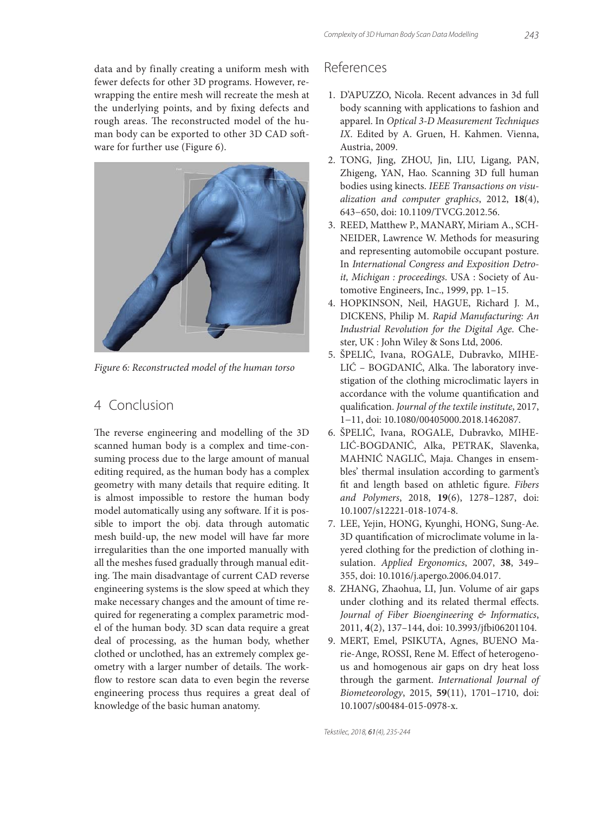data and by finally creating a uniform mesh with fewer defects for other 3D programs. However, rewrapping the entire mesh will recreate the mesh at the underlying points, and by fixing defects and rough areas. The reconstructed model of the human body can be exported to other 3D CAD software for further use (Figure 6).



*Figure 6: Reconstructed model of the human torso*

## 4 Conclusion

The reverse engineering and modelling of the 3D scanned human body is a complex and time-consuming process due to the large amount of manual editing required, as the human body has a complex geometry with many details that require editing. It is almost impossible to restore the human body model automatically using any software. If it is possible to import the obj. data through automatic mesh build-up, the new model will have far more irregularities than the one imported manually with all the meshes fused gradually through manual editing. The main disadvantage of current CAD reverse engineering systems is the slow speed at which they make necessary changes and the amount of time required for regenerating a complex parametric model of the human body. 3D scan data require a great deal of processing, as the human body, whether clothed or unclothed, has an extremely complex geometry with a larger number of details. The workflow to restore scan data to even begin the reverse engineering process thus requires a great deal of knowledge of the basic human anatomy.

### References

- 1. D'APUZZO, Nicola. Recent advances in 3d full body scanning with applications to fashion and apparel. In *Optical 3-D Measurement Techniques IX*. Edited by A. Gruen, H. Kahmen. Vienna, Austria, 2009.
- 2. TONG, Jing, ZHOU, Jin, LIU, Ligang, PAN, Zhigeng, YAN, Hao. Scanning 3D full human bodies using kinects. *IEEE Transactions on visualization and computer graphics*, 2012, **18**(4), 643−650, doi: 10.1109/TVCG.2012.56.
- 3. REED, Matthew P., MANARY, Miriam A., SCH-NEIDER, Lawrence W. Methods for measuring and representing automobile occupant posture. In *International Congress and Exposition Detroit, Michigan : proceedings*. USA : Society of Automotive Engineers, Inc., 1999, pp. 1–15.
- 4. HOPKINSON, Neil, HAGUE, Richard J. M., DICKENS, Philip M. *Rapid Manufacturing: An Industrial Revolution for the Digital Age*. Chester, UK : John Wiley & Sons Ltd, 2006.
- 5. ŠPELIĆ, Ivana, ROGALE, Dubravko, MIHE-LIĆ - BOGDANIĆ, Alka. The laboratory investigation of the clothing microclimatic layers in accordance with the volume quantification and qualifi cation. *Journal of the textile institute*, 2017, 1−11, doi: 10.1080/00405000.2018.1462087.
- 6. ŠPELIĆ, Ivana, ROGALE, Dubravko, MIHE-LIĆ-BOGDANIĆ, Alka, PETRAK, Slavenka, MAHNIĆ NAGLIĆ, Maja. Changes in ensembles' thermal insulation according to garment's fit and length based on athletic figure. Fibers *and Polymers*, 2018, **19**(6), 1278–1287, doi: 10.1007/s12221-018-1074-8.
- 7. LEE, Yejin, HONG, Kyunghi, HONG, Sung-Ae. 3D quantification of microclimate volume in layered clothing for the prediction of clothing insulation. *Applied Ergonomics*, 2007, **38**, 349– 355, doi: 10.1016/j.apergo.2006.04.017.
- 8. ZHANG, Zhaohua, LI, Jun. Volume of air gaps under clothing and its related thermal effects. *Journal of Fiber Bioengineering & Informatics*, 2011, 4(2), 137-144, doi: 10.3993/jfbi06201104.
- 9. MERT, Emel, PSIKUTA, Agnes, BUENO Marie-Ange, ROSSI, Rene M. Effect of heterogenous and homogenous air gaps on dry heat loss through the garment. *International Journal of Biometeorology*, 2015, **59**(11), 1701–1710, doi: 10.1007/s00484-015-0978-x.